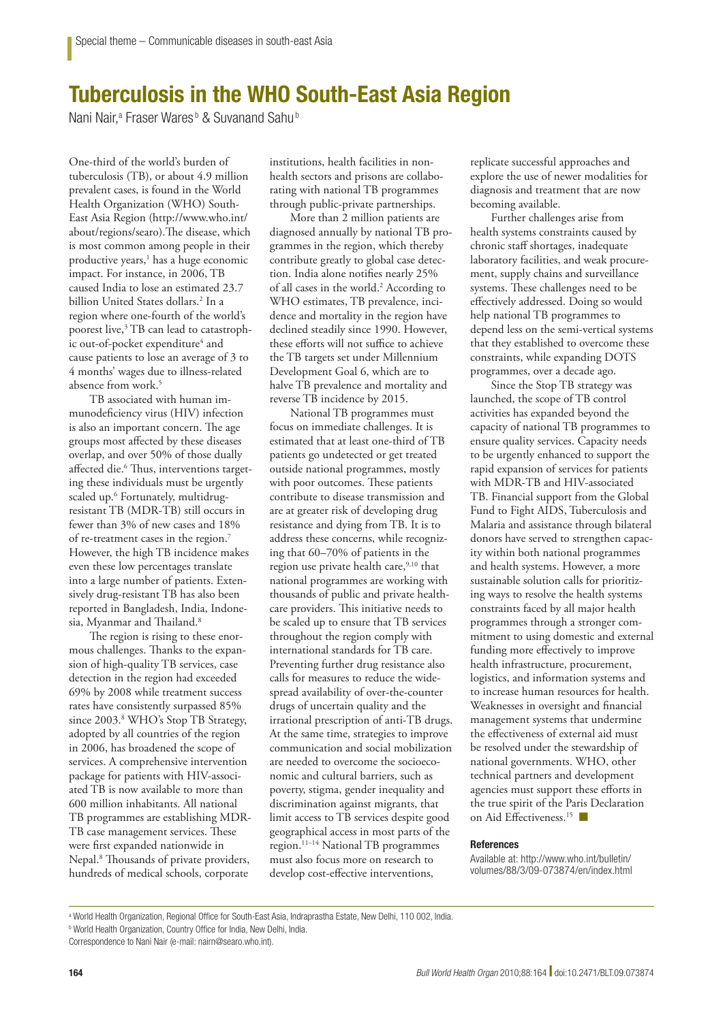## Tuberculosis in the WHO South-East Asia Region

Nani Nair,<sup>a</sup> Fraser Wares<sup>b</sup> & Suvanand Sahu<sup>b</sup>

One-third of the world's burden of tuberculosis (TB), or about 4.9 million prevalent cases, is found in the World Health Organization (WHO) South-East Asia Region (http://www.who.int/ about/regions/searo).The disease, which is most common among people in their productive years,<sup>1</sup> has a huge economic impact. For instance, in 2006, TB caused India to lose an estimated 23.7 billion United States dollars.<sup>2</sup> In a region where one-fourth of the world's poorest live,<sup>3</sup> TB can lead to catastrophic out-of-pocket expenditure<sup>4</sup> and cause patients to lose an average of 3 to 4 months' wages due to illness-related absence from work.<sup>5</sup>

TB associated with human immunodeficiency virus (HIV) infection is also an important concern. The age groups most affected by these diseases overlap, and over 50% of those dually affected die.<sup>6</sup> Thus, interventions targeting these individuals must be urgently scaled up.6 Fortunately, multidrugresistant TB (MDR-TB) still occurs in fewer than 3% of new cases and 18% of re-treatment cases in the region.7 However, the high TB incidence makes even these low percentages translate into a large number of patients. Extensively drug-resistant TB has also been reported in Bangladesh, India, Indonesia, Myanmar and Thailand.<sup>8</sup>

The region is rising to these enormous challenges. Thanks to the expansion of high-quality TB services, case detection in the region had exceeded 69% by 2008 while treatment success rates have consistently surpassed 85% since 2003.8 WHO's Stop TB Strategy, adopted by all countries of the region in 2006, has broadened the scope of services. A comprehensive intervention package for patients with HIV-associated TB is now available to more than 600 million inhabitants. All national TB programmes are establishing MDR-TB case management services. These were first expanded nationwide in Nepal.8 Thousands of private providers, hundreds of medical schools, corporate

institutions, health facilities in nonhealth sectors and prisons are collaborating with national TB programmes through public-private partnerships.

More than 2 million patients are diagnosed annually by national TB programmes in the region, which thereby contribute greatly to global case detection. India alone notifies nearly 25% of all cases in the world.<sup>2</sup> According to WHO estimates, TB prevalence, incidence and mortality in the region have declined steadily since 1990. However, these efforts will not suffice to achieve the TB targets set under Millennium Development Goal 6, which are to halve TB prevalence and mortality and reverse TB incidence by 2015.

National TB programmes must focus on immediate challenges. It is estimated that at least one-third of TB patients go undetected or get treated outside national programmes, mostly with poor outcomes. These patients contribute to disease transmission and are at greater risk of developing drug resistance and dying from TB. It is to address these concerns, while recognizing that 60–70% of patients in the region use private health care,<sup>9,10</sup> that national programmes are working with thousands of public and private healthcare providers. This initiative needs to be scaled up to ensure that TB services throughout the region comply with international standards for TB care. Preventing further drug resistance also calls for measures to reduce the widespread availability of over-the-counter drugs of uncertain quality and the irrational prescription of anti-TB drugs. At the same time, strategies to improve communication and social mobilization are needed to overcome the socioeconomic and cultural barriers, such as poverty, stigma, gender inequality and discrimination against migrants, that limit access to TB services despite good geographical access in most parts of the region.11–14 National TB programmes must also focus more on research to develop cost-effective interventions,

replicate successful approaches and explore the use of newer modalities for diagnosis and treatment that are now becoming available.

Further challenges arise from health systems constraints caused by chronic staff shortages, inadequate laboratory facilities, and weak procurement, supply chains and surveillance systems. These challenges need to be effectively addressed. Doing so would help national TB programmes to depend less on the semi-vertical systems that they established to overcome these constraints, while expanding DOTS programmes, over a decade ago.

Since the Stop TB strategy was launched, the scope of TB control activities has expanded beyond the capacity of national TB programmes to ensure quality services. Capacity needs to be urgently enhanced to support the rapid expansion of services for patients with MDR-TB and HIV-associated TB. Financial support from the Global Fund to Fight AIDS, Tuberculosis and Malaria and assistance through bilateral donors have served to strengthen capacity within both national programmes and health systems. However, a more sustainable solution calls for prioritizing ways to resolve the health systems constraints faced by all major health programmes through a stronger commitment to using domestic and external funding more effectively to improve health infrastructure, procurement, logistics, and information systems and to increase human resources for health. Weaknesses in oversight and financial management systems that undermine the effectiveness of external aid must be resolved under the stewardship of national governments. WHO, other technical partners and development agencies must support these efforts in the true spirit of the Paris Declaration on Aid Effectiveness.15 ■

## References

Available at: http://www.who.int/bulletin/ volumes/88/3/09-073874/en/index.html

a World Health Organization, Regional Office for South-East Asia, Indraprastha Estate, New Delhi, 110 002, India.

<sup>b</sup> World Health Organization, Country Office for India, New Delhi, India.

Correspondence to Nani Nair (e-mail: nairn@searo.who.int).